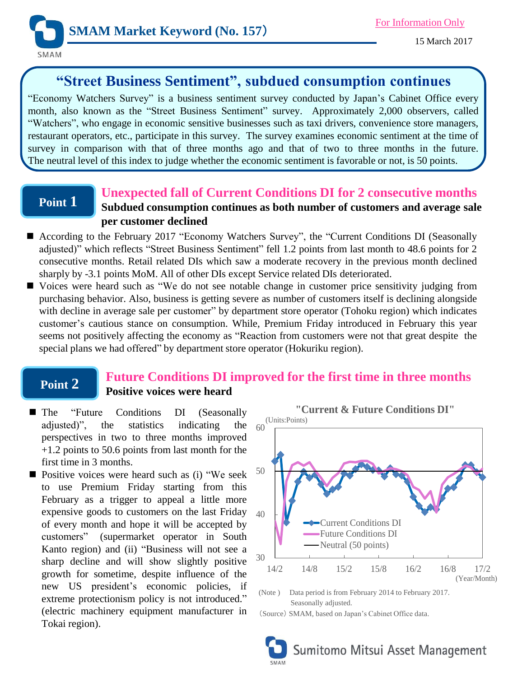

# **"Street Business Sentiment", subdued consumption continues**

"Economy Watchers Survey" is a business sentiment survey conducted by Japan's Cabinet Office every month, also known as the "Street Business Sentiment" survey. Approximately 2,000 observers, called "Watchers", who engage in economic sensitive businesses such as taxi drivers, convenience store managers, restaurant operators, etc., participate in this survey. The survey examines economic sentiment at the time of survey in comparison with that of three months ago and that of two to three months in the future. The neutral level of this index to judge whether the economic sentiment is favorable or not, is 50 points.

## **Point 1**

### **Unexpected fall of Current Conditions DI for 2 consecutive months Subdued consumption continues as both number of customers and average sale per customer declined**

- According to the February 2017 "Economy Watchers Survey", the "Current Conditions DI (Seasonally adjusted)" which reflects "Street Business Sentiment" fell 1.2 points from last month to 48.6 points for 2 consecutive months. Retail related DIs which saw a moderate recovery in the previous month declined sharply by -3.1 points MoM. All of other DIs except Service related DIs deteriorated.
- Voices were heard such as "We do not see notable change in customer price sensitivity judging from purchasing behavior. Also, business is getting severe as number of customers itself is declining alongside with decline in average sale per customer" by department store operator (Tohoku region) which indicates customer's cautious stance on consumption. While, Premium Friday introduced in February this year seems not positively affecting the economy as "Reaction from customers were not that great despite the special plans we had offered" by department store operator (Hokuriku region).

## **Point 2**

### **Future Conditions DI improved for the first time in three months Positive voices were heard**

- The "Future Conditions DI (Seasonally adjusted)", the statistics indicating the perspectives in two to three months improved +1.2 points to 50.6 points from last month for the first time in 3 months.
- $\blacksquare$  Positive voices were heard such as (i) "We seek to use Premium Friday starting from this February as a trigger to appeal a little more expensive goods to customers on the last Friday of every month and hope it will be accepted by customers" (supermarket operator in South Kanto region) and (ii) "Business will not see a sharp decline and will show slightly positive growth for sometime, despite influence of the new US president's economic policies, if extreme protectionism policy is not introduced." (electric machinery equipment manufacturer in Tokai region).



(Note ) Data period is from February 2014 to February 2017. Seasonally adjusted.

(Source) SMAM, based on Japan's Cabinet Office data.

Sumitomo Mitsui Asset Management